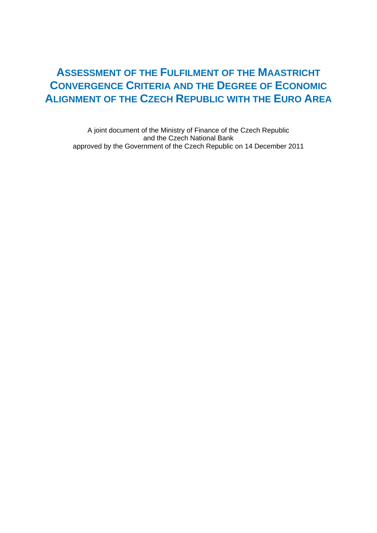# **ASSESSMENT OF THE FULFILMENT OF THE MAASTRICHT CONVERGENCE CRITERIA AND THE DEGREE OF ECONOMIC ALIGNMENT OF THE CZECH REPUBLIC WITH THE EURO AREA**

A joint document of the Ministry of Finance of the Czech Republic and the Czech National Bank approved by the Government of the Czech Republic on 14 December 2011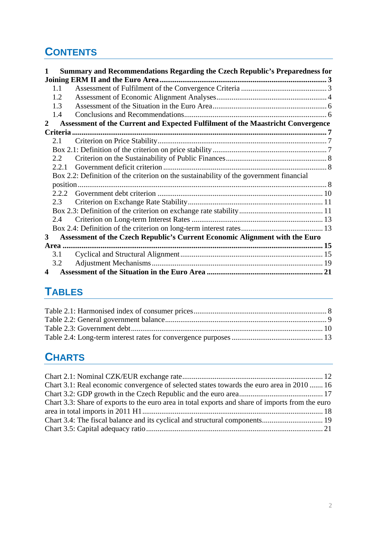# **CONTENTS**

| Summary and Recommendations Regarding the Czech Republic's Preparedness for<br>1                |  |
|-------------------------------------------------------------------------------------------------|--|
|                                                                                                 |  |
| 1.1                                                                                             |  |
| 1.2                                                                                             |  |
| 1.3                                                                                             |  |
| 1.4                                                                                             |  |
| Assessment of the Current and Expected Fulfilment of the Maastricht Convergence<br>$\mathbf{2}$ |  |
|                                                                                                 |  |
| 2.1                                                                                             |  |
|                                                                                                 |  |
| 2.2                                                                                             |  |
| 2.2.1                                                                                           |  |
| Box 2.2: Definition of the criterion on the sustainability of the government financial          |  |
|                                                                                                 |  |
| 2.2.2                                                                                           |  |
| 2.3                                                                                             |  |
|                                                                                                 |  |
| 2.4                                                                                             |  |
|                                                                                                 |  |
| Assessment of the Czech Republic's Current Economic Alignment with the Euro<br>3                |  |
|                                                                                                 |  |
| 3.1                                                                                             |  |
| 3.2                                                                                             |  |
| 4                                                                                               |  |

# **T[ABLES](#page-18-0)**

# **[CHARTS](#page-9-1)**

| Chart 3.1: Real economic convergence of selected states towards the euro area in 2010  16        |  |
|--------------------------------------------------------------------------------------------------|--|
|                                                                                                  |  |
| Chart 3.3: Share of exports to the euro area in total exports and share of imports from the euro |  |
|                                                                                                  |  |
|                                                                                                  |  |
|                                                                                                  |  |
|                                                                                                  |  |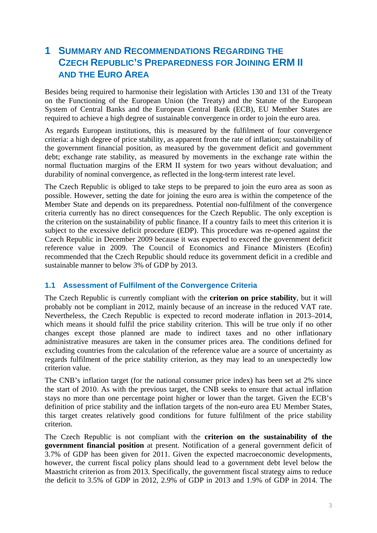# <span id="page-2-0"></span>**1 SUMMARY AND RECOMMENDATIONS REGARDING THE CZECH REPUBLIC'S PREPAREDNESS FOR JOINING ERM II AND THE EURO AREA**

Besides being required to harmonise their legislation with Articles 130 and 131 of the Treaty on the Functioning of the European Union (the Treaty) and the Statute of the European System of Central Banks and the European Central Bank (ECB), EU Member States are required to achieve a high degree of sustainable convergence in order to join the euro area.

As regards European institutions, this is measured by the fulfilment of four convergence criteria: a high degree of price stability, as apparent from the rate of inflation; sustainability of the government financial position, as measured by the government deficit and government debt; exchange rate stability, as measured by movements in the exchange rate within the normal fluctuation margins of the ERM II system for two years without devaluation; and durability of nominal convergence, as reflected in the long-term interest rate level.

The Czech Republic is obliged to take steps to be prepared to join the euro area as soon as possible. However, setting the date for joining the euro area is within the competence of the Member State and depends on its preparedness. Potential non-fulfilment of the convergence criteria currently has no direct consequences for the Czech Republic. The only exception is the criterion on the sustainability of public finance. If a country fails to meet this criterion it is subject to the excessive deficit procedure (EDP). This procedure was re-opened against the Czech Republic in December 2009 because it was expected to exceed the government deficit reference value in 2009. The Council of Economics and Finance Ministers (Ecofin) recommended that the Czech Republic should reduce its government deficit in a credible and sustainable manner to below 3% of GDP by 2013.

## <span id="page-2-1"></span>**1.1 Assessment of Fulfilment of the Convergence Criteria**

The Czech Republic is currently compliant with the **criterion on price stability**, but it will probably not be compliant in 2012, mainly because of an increase in the reduced VAT rate. Nevertheless, the Czech Republic is expected to record moderate inflation in 2013–2014, which means it should fulfil the price stability criterion. This will be true only if no other changes except those planned are made to indirect taxes and no other inflationary administrative measures are taken in the consumer prices area. The conditions defined for excluding countries from the calculation of the reference value are a source of uncertainty as regards fulfilment of the price stability criterion, as they may lead to an unexpectedly low criterion value.

The CNB's inflation target (for the national consumer price index) has been set at 2% since the start of 2010. As with the previous target, the CNB seeks to ensure that actual inflation stays no more than one percentage point higher or lower than the target. Given the ECB's definition of price stability and the inflation targets of the non-euro area EU Member States, this target creates relatively good conditions for future fulfilment of the price stability criterion.

The Czech Republic is not compliant with the **criterion on the sustainability of the government financial position** at present. Notification of a general government deficit of 3.7% of GDP has been given for 2011. Given the expected macroeconomic developments, however, the current fiscal policy plans should lead to a government debt level below the Maastricht criterion as from 2013. Specifically, the government fiscal strategy aims to reduce the deficit to 3.5% of GDP in 2012, 2.9% of GDP in 2013 and 1.9% of GDP in 2014. The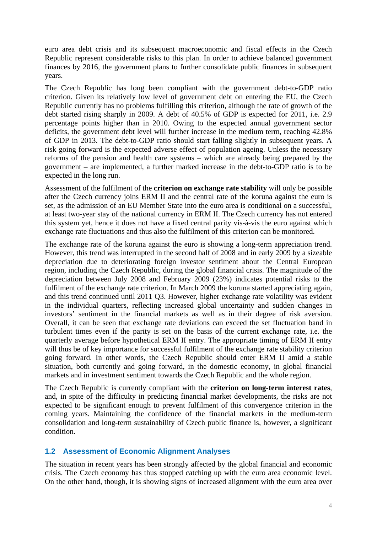euro area debt crisis and its subsequent macroeconomic and fiscal effects in the Czech Republic represent considerable risks to this plan. In order to achieve balanced government finances by 2016, the government plans to further consolidate public finances in subsequent years.

The Czech Republic has long been compliant with the government debt-to-GDP ratio criterion. Given its relatively low level of government debt on entering the EU, the Czech Republic currently has no problems fulfilling this criterion, although the rate of growth of the debt started rising sharply in 2009. A debt of 40.5% of GDP is expected for 2011, i.e. 2.9 percentage points higher than in 2010. Owing to the expected annual government sector deficits, the government debt level will further increase in the medium term, reaching 42.8% of GDP in 2013. The debt-to-GDP ratio should start falling slightly in subsequent years. A risk going forward is the expected adverse effect of population ageing. Unless the necessary reforms of the pension and health care systems – which are already being prepared by the government – are implemented, a further marked increase in the debt-to-GDP ratio is to be expected in the long run.

Assessment of the fulfilment of the **criterion on exchange rate stability** will only be possible after the Czech currency joins ERM II and the central rate of the koruna against the euro is set, as the admission of an EU Member State into the euro area is conditional on a successful, at least two-year stay of the national currency in ERM II. The Czech currency has not entered this system yet, hence it does not have a fixed central parity vis-à-vis the euro against which exchange rate fluctuations and thus also the fulfilment of this criterion can be monitored.

The exchange rate of the koruna against the euro is showing a long-term appreciation trend. However, this trend was interrupted in the second half of 2008 and in early 2009 by a sizeable depreciation due to deteriorating foreign investor sentiment about the Central European region, including the Czech Republic, during the global financial crisis. The magnitude of the depreciation between July 2008 and February 2009 (23%) indicates potential risks to the fulfilment of the exchange rate criterion. In March 2009 the koruna started appreciating again, and this trend continued until 2011 Q3. However, higher exchange rate volatility was evident in the individual quarters, reflecting increased global uncertainty and sudden changes in investors' sentiment in the financial markets as well as in their degree of risk aversion. Overall, it can be seen that exchange rate deviations can exceed the set fluctuation band in turbulent times even if the parity is set on the basis of the current exchange rate, i.e. the quarterly average before hypothetical ERM II entry. The appropriate timing of ERM II entry will thus be of key importance for successful fulfilment of the exchange rate stability criterion going forward. In other words, the Czech Republic should enter ERM II amid a stable situation, both currently and going forward, in the domestic economy, in global financial markets and in investment sentiment towards the Czech Republic and the whole region.

The Czech Republic is currently compliant with the **criterion on long-term interest rates**, and, in spite of the difficulty in predicting financial market developments, the risks are not expected to be significant enough to prevent fulfilment of this convergence criterion in the coming years. Maintaining the confidence of the financial markets in the medium-term consolidation and long-term sustainability of Czech public finance is, however, a significant condition.

# **1.2 Assessment of Economic Alignment Analyses**

<span id="page-3-0"></span>The situation in recent years has been strongly affected by the global financial and economic crisis. The Czech economy has thus stopped catching up with the euro area economic level. On the other hand, though, it is showing signs of increased alignment with the euro area over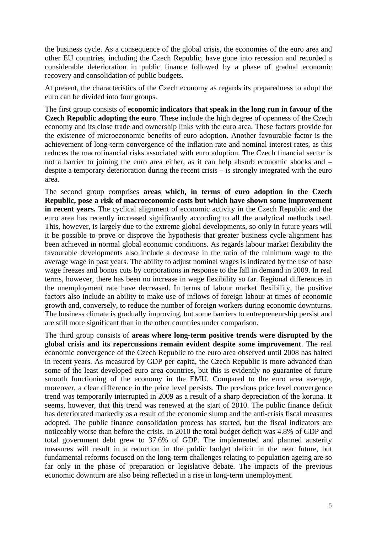the business cycle. As a consequence of the global crisis, the economies of the euro area and other EU countries, including the Czech Republic, have gone into recession and recorded a considerable deterioration in public finance followed by a phase of gradual economic recovery and consolidation of public budgets.

At present, the characteristics of the Czech economy as regards its preparedness to adopt the euro can be divided into four groups.

The first group consists of **economic indicators that speak in the long run in favour of the Czech Republic adopting the euro**. These include the high degree of openness of the Czech economy and its close trade and ownership links with the euro area. These factors provide for the existence of microeconomic benefits of euro adoption. Another favourable factor is the achievement of long-term convergence of the inflation rate and nominal interest rates, as this reduces the macrofinancial risks associated with euro adoption. The Czech financial sector is not a barrier to joining the euro area either, as it can help absorb economic shocks and – despite a temporary deterioration during the recent crisis – is strongly integrated with the euro area.

The second group comprises **areas which, in terms of euro adoption in the Czech Republic, pose a risk of macroeconomic costs but which have shown some improvement in recent years.** The cyclical alignment of economic activity in the Czech Republic and the euro area has recently increased significantly according to all the analytical methods used. This, however, is largely due to the extreme global developments, so only in future years will it be possible to prove or disprove the hypothesis that greater business cycle alignment has been achieved in normal global economic conditions. As regards labour market flexibility the favourable developments also include a decrease in the ratio of the minimum wage to the average wage in past years. The ability to adjust nominal wages is indicated by the use of base wage freezes and bonus cuts by corporations in response to the fall in demand in 2009. In real terms, however, there has been no increase in wage flexibility so far. Regional differences in the unemployment rate have decreased. In terms of labour market flexibility, the positive factors also include an ability to make use of inflows of foreign labour at times of economic growth and, conversely, to reduce the number of foreign workers during economic downturns. The business climate is gradually improving, but some barriers to entrepreneurship persist and are still more significant than in the other countries under comparison.

The third group consists of **areas where long-term positive trends were disrupted by the global crisis and its repercussions remain evident despite some improvement**. The real economic convergence of the Czech Republic to the euro area observed until 2008 has halted in recent years. As measured by GDP per capita, the Czech Republic is more advanced than some of the least developed euro area countries, but this is evidently no guarantee of future smooth functioning of the economy in the EMU. Compared to the euro area average, moreover, a clear difference in the price level persists. The previous price level convergence trend was temporarily interrupted in 2009 as a result of a sharp depreciation of the koruna. It seems, however, that this trend was renewed at the start of 2010. The public finance deficit has deteriorated markedly as a result of the economic slump and the anti-crisis fiscal measures adopted. The public finance consolidation process has started, but the fiscal indicators are noticeably worse than before the crisis. In 2010 the total budget deficit was 4.8% of GDP and total government debt grew to 37.6% of GDP. The implemented and planned austerity measures will result in a reduction in the public budget deficit in the near future, but fundamental reforms focused on the long-term challenges relating to population ageing are so far only in the phase of preparation or legislative debate. The impacts of the previous economic downturn are also being reflected in a rise in long-term unemployment.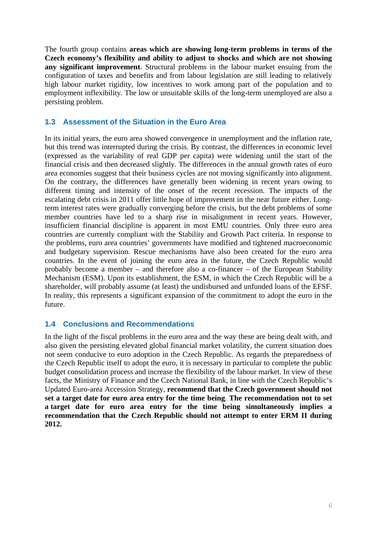The fourth group contains **areas which are showing long-term problems in terms of the Czech economy's flexibility and ability to adjust to shocks and which are not showing any significant improvement**. Structural problems in the labour market ensuing from the configuration of taxes and benefits and from labour legislation are still leading to relatively high labour market rigidity, low incentives to work among part of the population and to employment inflexibility. The low or unsuitable skills of the long-term unemployed are also a persisting problem.

# <span id="page-5-0"></span>**1.3 Assessment of the Situation in the Euro Area**

In its initial years, the euro area showed convergence in unemployment and the inflation rate, but this trend was interrupted during the crisis. By contrast, the differences in economic level (expressed as the variability of real GDP per capita) were widening until the start of the financial crisis and then decreased slightly. The differences in the annual growth rates of euro area economies suggest that their business cycles are not moving significantly into alignment. On the contrary, the differences have generally been widening in recent years owing to different timing and intensity of the onset of the recent recession. The impacts of the escalating debt crisis in 2011 offer little hope of improvement in the near future either. Longterm interest rates were gradually converging before the crisis, but the debt problems of some member countries have led to a sharp rise in misalignment in recent years. However, insufficient financial discipline is apparent in most EMU countries. Only three euro area countries are currently compliant with the Stability and Growth Pact criteria. In response to the problems, euro area countries' governments have modified and tightened macroeconomic and budgetary supervision. Rescue mechanisms have also been created for the euro area countries. In the event of joining the euro area in the future, the Czech Republic would probably become a member – and therefore also a co-financer – of the European Stability Mechanism (ESM). Upon its establishment, the ESM, in which the Czech Republic will be a shareholder, will probably assume (at least) the undisbursed and unfunded loans of the EFSF. In reality, this represents a significant expansion of the commitment to adopt the euro in the future.

## <span id="page-5-1"></span>**1.4 Conclusions and Recommendations**

In the light of the fiscal problems in the euro area and the way these are being dealt with, and also given the persisting elevated global financial market volatility, the current situation does not seem conducive to euro adoption in the Czech Republic. As regards the preparedness of the Czech Republic itself to adopt the euro, it is necessary in particular to complete the public budget consolidation process and increase the flexibility of the labour market. In view of these facts, the Ministry of Finance and the Czech National Bank, in line with the Czech Republic's Updated Euro-area Accession Strategy, **recommend that the Czech government should not set a target date for euro area entry for the time being**. **The recommendation not to set a target date for euro area entry for the time being simultaneously implies a recommendation that the Czech Republic should not attempt to enter ERM II during 2012.**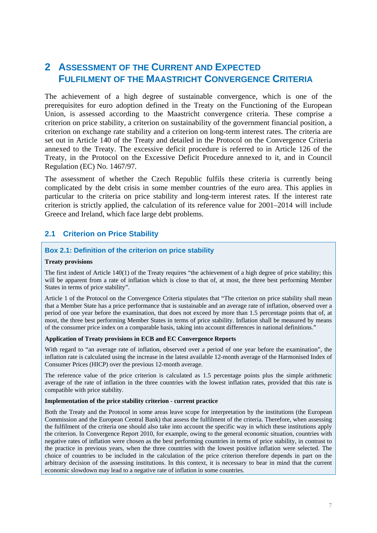# <span id="page-6-0"></span>**2 ASSESSMENT OF THE CURRENT AND EXPECTED FULFILMENT OF THE MAASTRICHT CONVERGENCE CRITERIA**

The achievement of a high degree of sustainable convergence, which is one of the prerequisites for euro adoption defined in the Treaty on the Functioning of the European Union, is assessed according to the Maastricht convergence criteria. These comprise a criterion on price stability, a criterion on sustainability of the government financial position, a criterion on exchange rate stability and a criterion on long-term interest rates. The criteria are set out in Article 140 of the Treaty and detailed in the Protocol on the Convergence Criteria annexed to the Treaty. The excessive deficit procedure is referred to in Article 126 of the Treaty, in the Protocol on the Excessive Deficit Procedure annexed to it, and in Council Regulation (EC) No. 1467/97.

The assessment of whether the Czech Republic fulfils these criteria is currently being complicated by the debt crisis in some member countries of the euro area. This applies in particular to the criteria on price stability and long-term interest rates. If the interest rate criterion is strictly applied, the calculation of its reference value for 2001–2014 will include Greece and Ireland, which face large debt problems.

## <span id="page-6-1"></span>**2.1 Criterion on Price Stability**

#### <span id="page-6-2"></span>**Box 2.1: Definition of the criterion on price stability**

#### **Treaty provisions**

The first indent of Article 140(1) of the Treaty requires "the achievement of a high degree of price stability; this will be apparent from a rate of inflation which is close to that of, at most, the three best performing Member States in terms of price stability".

Article 1 of the Protocol on the Convergence Criteria stipulates that "The criterion on price stability shall mean that a Member State has a price performance that is sustainable and an average rate of inflation, observed over a period of one year before the examination, that does not exceed by more than 1.5 percentage points that of, at most, the three best performing Member States in terms of price stability. Inflation shall be measured by means of the consumer price index on a comparable basis, taking into account differences in national definitions."

#### **Application of Treaty provisions in ECB and EC Convergence Reports**

With regard to "an average rate of inflation, observed over a period of one year before the examination", the inflation rate is calculated using the increase in the latest available 12-month average of the Harmonised Index of Consumer Prices (HICP) over the previous 12-month average.

The reference value of the price criterion is calculated as 1.5 percentage points plus the simple arithmetic average of the rate of inflation in the three countries with the lowest inflation rates, provided that this rate is compatible with price stability.

#### **Implementation of the price stability criterion - current practice**

Both the Treaty and the Protocol in some areas leave scope for interpretation by the institutions (the European Commission and the European Central Bank) that assess the fulfilment of the criteria. Therefore, when assessing the fulfilment of the criteria one should also take into account the specific way in which these institutions apply the criterion. In Convergence Report 2010, for example, owing to the general economic situation, countries with negative rates of inflation were chosen as the best performing countries in terms of price stability, in contrast to the practice in previous years, when the three countries with the lowest positive inflation were selected. The choice of countries to be included in the calculation of the price criterion therefore depends in part on the arbitrary decision of the assessing institutions. In this context, it is necessary to bear in mind that the current economic slowdown may lead to a negative rate of inflation in some countries.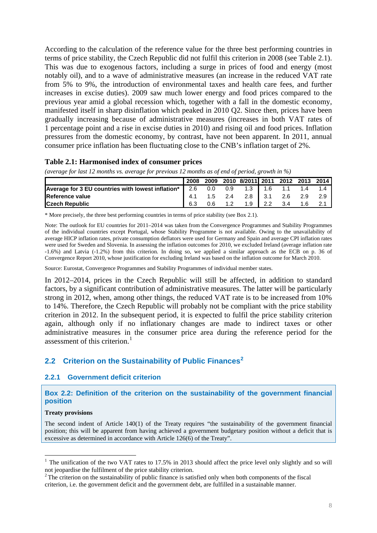According to the calculation of the reference value for the three best performing countries in terms of price stability, the Czech Republic did not fulfil this criterion in 2008 (see Table 2.1). This was due to exogenous factors, including a surge in prices of food and energy (most notably oil), and to a wave of administrative measures (an increase in the reduced VAT rate from 5% to 9%, the introduction of environmental taxes and health care fees, and further increases in excise duties). 2009 saw much lower energy and food prices compared to the previous year amid a global recession which, together with a fall in the domestic economy, manifested itself in sharp disinflation which peaked in 2010 Q2. Since then, prices have been gradually increasing because of administrative measures (increases in both VAT rates of 1 percentage point and a rise in excise duties in 2010) and rising oil and food prices. Inflation pressures from the domestic economy, by contrast, have not been apparent. In 2011, annual consumer price inflation has been fluctuating close to the CNB's inflation target of 2%.

#### **Table 2.1: Harmonised index of consumer prices**

<span id="page-7-3"></span>

| $\cdots$ . $\cdots$                               |     |     |                                           |     |     |  |
|---------------------------------------------------|-----|-----|-------------------------------------------|-----|-----|--|
|                                                   |     |     | 2008 2009 2010 8/2011 2011 2012 2013 2014 |     |     |  |
| Average for 3 EU countries with lowest inflation* | 2.6 | 0.0 | $0.9$ 1.3 1.6 1.1 1.4                     |     |     |  |
| Reference value                                   |     |     | 4.1  1.5  2.4  2.8  3.1  2.6  2.9         |     |     |  |
| <b>ICzech Republic</b>                            | 6.3 |     | $0.6$ 1.2 1.9 2.2                         | 3.4 | 1.6 |  |

*(average for last 12 months vs. average for previous 12 months as of end of period, growth in %)* 

\* More precisely, the three best performing countries in terms of price stability (see Box 2.1).

Note: The outlook for EU countries for 2011–2014 was taken from the Convergence Programmes and Stability Programmes of the individual countries except Portugal, whose Stability Programme is not available. Owing to the unavailability of average HICP inflation rates, private consumption deflators were used for Germany and Spain and average CPI inflation rates were used for Sweden and Slovenia. In assessing the inflation outcomes for 2010, we excluded Ireland (average inflation rate -1.6%) and Latvia (-1.2%) from this criterion. In doing so, we applied a similar approach as the ECB on p. 36 of Convergence Report 2010, whose justification for excluding Ireland was based on the inflation outcome for March 2010.

Source: Eurostat, Convergence Programmes and Stability Programmes of individual member states.

In 2012–2014, prices in the Czech Republic will still be affected, in addition to standard factors, by a significant contribution of administrative measures. The latter will be particularly strong in 2012, when, among other things, the reduced VAT rate is to be increased from 10% to 14%. Therefore, the Czech Republic will probably not be compliant with the price stability criterion in 2012. In the subsequent period, it is expected to fulfil the price stability criterion again, although only if no inflationary changes are made to indirect taxes or other administrative measures in the consumer price area during the reference period for the assessment of this criterion.<sup>1</sup>

## **2.2 Criterion on the Sustainability of Public Finances<sup>2</sup>**

#### **2.2.1 Government deficit criterion**

<span id="page-7-0"></span>**Box 2.2: Definition of the criterion on the sustainability [of](#page-7-4) the government financial position** 

#### <span id="page-7-1"></span>**Treaty provisions**

1

<span id="page-7-2"></span>The second indent of Article 140(1) of the Treaty requires "the sustainability of the government financial position; this will be apparent from having achieved a government budgetary position without a deficit that is excessive as determined in accordance with Article 126(6) of the Treaty".

<sup>&</sup>lt;sup>1</sup> The unification of the two VAT rates to 17.5% in 2013 should affect the price level only slightly and so will not jeopardise the fulfilment of the price stability criterion.

<span id="page-7-4"></span> $2$ <sup>2</sup> The criterion on the sustainability of public finance is satisfied only when both components of the fiscal criterion, i.e. the government deficit and the government debt, are fulfilled in a sustainable manner.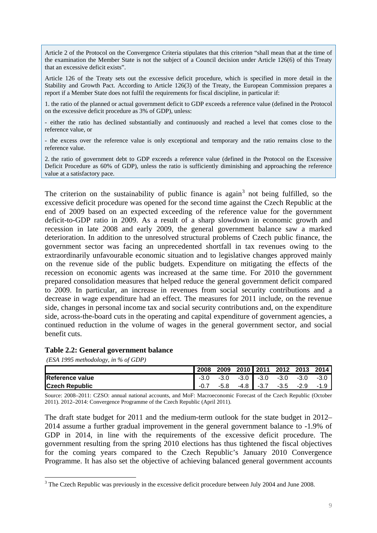Article 2 of the Protocol on the Convergence Criteria stipulates that this criterion "shall mean that at the time of the examination the Member State is not the subject of a Council decision under Article 126(6) of this Treaty that an excessive deficit exists".

Article 126 of the Treaty sets out the excessive deficit procedure, which is specified in more detail in the Stability and Growth Pact. According to Article 126(3) of the Treaty, the European Commission prepares a report if a Member State does not fulfil the requirements for fiscal discipline, in particular if:

1. the ratio of the planned or actual government deficit to GDP exceeds a reference value (defined in the Protocol on the excessive deficit procedure as 3% of GDP), unless:

- either the ratio has declined substantially and continuously and reached a level that comes close to the reference value, or

- the excess over the reference value is only exceptional and temporary and the ratio remains close to the reference value.

2. the ratio of government debt to GDP exceeds a reference value (defined in the Protocol on the Excessive Deficit Procedure as 60% of GDP), unless the ratio is sufficiently diminishing and approaching the reference value at a satisfactory pace.

The criterion on the sustainability of public finance is again<sup>3</sup> not being fulfilled, so the excessive deficit procedure was opened for the second time against the Czech Republic at the end of 2009 based on an expected exceeding of the reference value for the government deficit-to-GDP ratio in 2009. As a result of a sharp slowdo[w](#page-8-1)n in economic growth and recession in late 2008 and early 2009, the general government balance saw a marked deterioration. In addition to the unresolved structural problems of Czech public finance, the government sector was facing an unprecedented shortfall in tax revenues owing to the extraordinarily unfavourable economic situation and to legislative changes approved mainly on the revenue side of the public budgets. Expenditure on mitigating the effects of the recession on economic agents was increased at the same time. For 2010 the government prepared consolidation measures that helped reduce the general government deficit compared to 2009. In particular, an increase in revenues from social security contributions and a decrease in wage expenditure had an effect. The measures for 2011 include, on the revenue side, changes in personal income tax and social security contributions and, on the expenditure side, across-the-board cuts in the operating and capital expenditure of government agencies, a continued reduction in the volume of wages in the general government sector, and social benefit cuts.

#### **Table 2.2: General government balance**

 *(ESA 1995 methodology, in % of GDP)* 

1

|                         | 2008   |      | 2009 2010 2011 2012 2013 |        |        | 2014   |
|-------------------------|--------|------|--------------------------|--------|--------|--------|
| <b>IReference value</b> | $-3.0$ |      | $-3.0$ $-3.0$ $-3.0$     | -3.0   | -3.0   | $-3.0$ |
| <b>Czech Republic</b>   |        | -5.8 | $-4.8$ $-3.7$            | $-3.5$ | $-2.9$ |        |

<span id="page-8-0"></span>Source: 2008–2011: CZSO: annual national accounts, and MoF: Macroeconomic Forecast of the Czech Republic (October 2011). 2012–2014: Convergence Programme of the Czech Republic (April 2011).

The draft state budget for 2011 and the medium-term outlook for the state budget in 2012– 2014 assume a further gradual improvement in the general government balance to -1.9% of GDP in 2014, in line with the requirements of the excessive deficit procedure. The government resulting from the spring 2010 elections has thus tightened the fiscal objectives for the coming years compared to the Czech Republic's January 2010 Convergence Programme. It has also set the objective of achieving balanced general government accounts

<span id="page-8-1"></span> $3$  The Czech Republic was previously in the excessive deficit procedure between July 2004 and June 2008.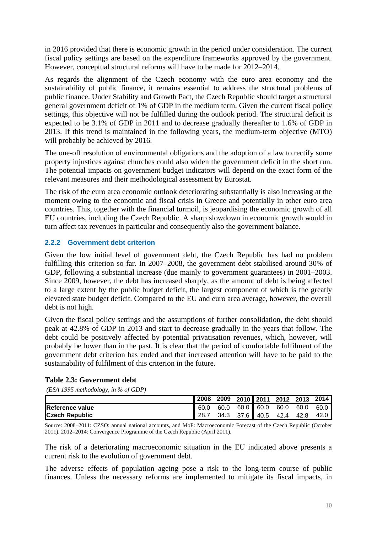in 2016 provided that there is economic growth in the period under consideration. The current fiscal policy settings are based on the expenditure frameworks approved by the government. However, conceptual structural reforms will have to be made for 2012–2014.

As regards the alignment of the Czech economy with the euro area economy and the sustainability of public finance, it remains essential to address the structural problems of public finance. Under Stability and Growth Pact, the Czech Republic should target a structural general government deficit of 1% of GDP in the medium term. Given the current fiscal policy settings, this objective will not be fulfilled during the outlook period. The structural deficit is expected to be 3.1% of GDP in 2011 and to decrease gradually thereafter to 1.6% of GDP in 2013. If this trend is maintained in the following years, the medium-term objective (MTO) will probably be achieved by 2016.

The one-off resolution of environmental obligations and the adoption of a law to rectify some property injustices against churches could also widen the government deficit in the short run. The potential impacts on government budget indicators will depend on the exact form of the relevant measures and their methodological assessment by Eurostat.

The risk of the euro area economic outlook deteriorating substantially is also increasing at the moment owing to the economic and fiscal crisis in Greece and potentially in other euro area countries. This, together with the financial turmoil, is jeopardising the economic growth of all EU countries, including the Czech Republic. A sharp slowdown in economic growth would in turn affect tax revenues in particular and consequently also the government balance.

## **2.2.2 Government debt criterion**

<span id="page-9-0"></span>Given the low initial level of government debt, the Czech Republic has had no problem fulfilling this criterion so far. In 2007–2008, the government debt stabilised around 30% of GDP, following a substantial increase (due mainly to government guarantees) in 2001–2003. Since 2009, however, the debt has increased sharply, as the amount of debt is being affected to a large extent by the public budget deficit, the largest component of which is the greatly elevated state budget deficit. Compared to the EU and euro area average, however, the overall debt is not high.

Given the fiscal policy settings and the assumptions of further consolidation, the debt should peak at 42.8% of GDP in 2013 and start to decrease gradually in the years that follow. The debt could be positively affected by potential privatisation revenues, which, however, will probably be lower than in the past. It is clear that the period of comfortable fulfilment of the government debt criterion has ended and that increased attention will have to be paid to the sustainability of fulfilment of this criterion in the future.

## <span id="page-9-1"></span>**Table 2.3: Government debt**

 *(ESA 1995 methodology, in % of GDP)* 

|                         | 2008 |  |  | 2009 2010 2011 2012 2013 2014      |  |
|-------------------------|------|--|--|------------------------------------|--|
| <b>IReference value</b> |      |  |  | 60.0 60.0 60.0 60.0 60.0 60.0 60.0 |  |
| <b>Czech Republic</b>   | 28.7 |  |  | 34.3 37.6 40.5 42.4 42.8 42.0      |  |

Source: 2008–2011: CZSO: annual national accounts, and MoF: Macroeconomic Forecast of the Czech Republic (October 2011). 2012–2014: Convergence Programme of the Czech Republic (April 2011).

The risk of a deteriorating macroeconomic situation in the EU indicated above presents a current risk to the evolution of government debt.

The adverse effects of population ageing pose a risk to the long-term course of public finances. Unless the necessary reforms are implemented to mitigate its fiscal impacts, in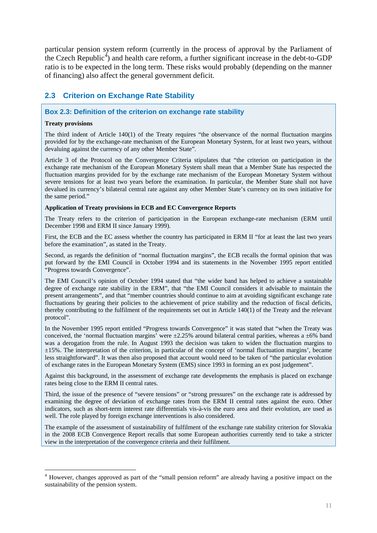particular pension system reform (currently in the process of approval by the Parliament of the Czech Republic<sup>4</sup>) and health care reform, a further significant increase in the debt-to-GDP ratio is to be expected in the long term. These risks would probably (depending on the manner of financing) also affect the general government deficit.

# **2.3 Criterion on Exchange Rate Stability**

#### **Box 2.3: Definition of the criterion on exchange rate stability**

#### **Treaty provisions**

1

<span id="page-10-1"></span><span id="page-10-0"></span>The third indent of Article 140(1) of the Treaty requires "the observance of the normal fluctuation margins provided for by the exchange-rate mechanism of the European Monetary System, for at least two years, without devaluing against the currency of any other Member State".

Article 3 of the Protocol on the Convergence Criteria stipulates that "the criterion on participation in the exchange rate mechanism of the European Monetary System shall mean that a Member State has respected the fluctuation margins provided for by the exchange rate mechanism of the European Monetary System without severe tensions for at least two years before the examination. In particular, the Member State shall not have devalued its currency's bilateral central rate against any other Member State's currency on its own initiative for the same period."

#### **Application of Treaty provisions in ECB and EC Convergence Reports**

The Treaty refers to the criterion of participation in the European exchange-rate mechanism (ERM until December 1998 and ERM II since January 1999).

First, the ECB and the EC assess whether the country has participated in ERM II "for at least the last two years before the examination", as stated in the Treaty.

Second, as regards the definition of "normal fluctuation margins", the ECB recalls the formal opinion that was put forward by the EMI Council in October 1994 and its statements in the November 1995 report entitled "Progress towards Convergence".

The EMI Council's opinion of October 1994 stated that "the wider band has helped to achieve a sustainable degree of exchange rate stability in the ERM", that "the EMI Council considers it advisable to maintain the present arrangements", and that "member countries should continue to aim at avoiding significant exchange rate fluctuations by gearing their policies to the achievement of price stability and the reduction of fiscal deficits, thereby contributing to the fulfilment of the requirements set out in Article 140(1) of the Treaty and the relevant protocol".

In the November 1995 report entitled "Progress towards Convergence" it was stated that "when the Treaty was conceived, the 'normal fluctuation margins' were  $\pm 2.25\%$  around bilateral central parities, whereas a  $\pm 6\%$  band was a derogation from the rule. In August 1993 the decision was taken to widen the fluctuation margins to ±15%. The interpretation of the criterion, in particular of the concept of 'normal fluctuation margins', became less straightforward". It was then also proposed that account would need to be taken of "the particular evolution of exchange rates in the European Monetary System (EMS) since 1993 in forming an ex post judgement".

Against this background, in the assessment of exchange rate developments the emphasis is placed on exchange rates being close to the ERM II central rates.

Third, the issue of the presence of "severe tensions" or "strong pressures" on the exchange rate is addressed by examining the degree of deviation of exchange rates from the ERM II central rates against the euro. Other indicators, such as short-term interest rate differentials vis-à-vis the euro area and their evolution, are used as well. The role played by foreign exchange interventions is also considered.

The example of the assessment of sustainability of fulfilment of the exchange rate stability criterion for Slovakia in the 2008 ECB Convergence Report recalls that some European authorities currently tend to take a stricter view in the interpretation of the convergence criteria and their fulfilment.

<sup>&</sup>lt;sup>4</sup> However, changes approved as part of the "small pension reform" are already having a positive impact on the sustainability of the pension system.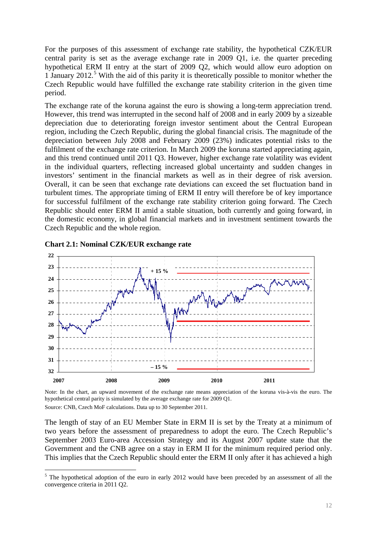For the purposes of this assessment of exchange rate stability, the hypothetical CZK/EUR central parity is set as the average exchange rate in 2009 Q1, i.e. the quarter preceding hypothetical ERM II entry at the start of 2009 Q2, which would allow euro adoption on 1 January 2012.<sup>5</sup> With the aid of this parity it is theoretically possible to monitor whether the Czech Republic would have fulfilled the exchange rate stability criterion in the given time period.

The exchange r[a](#page-11-1)te of the koruna against the euro is showing a long-term appreciation trend. However, this trend was interrupted in the second half of 2008 and in early 2009 by a sizeable depreciation due to deteriorating foreign investor sentiment about the Central European region, including the Czech Republic, during the global financial crisis. The magnitude of the depreciation between July 2008 and February 2009 (23%) indicates potential risks to the fulfilment of the exchange rate criterion. In March 2009 the koruna started appreciating again, and this trend continued until 2011 Q3. However, higher exchange rate volatility was evident in the individual quarters, reflecting increased global uncertainty and sudden changes in investors' sentiment in the financial markets as well as in their degree of risk aversion. Overall, it can be seen that exchange rate deviations can exceed the set fluctuation band in turbulent times. The appropriate timing of ERM II entry will therefore be of key importance for successful fulfilment of the exchange rate stability criterion going forward. The Czech Republic should enter ERM II amid a stable situation, both currently and going forward, in the domestic economy, in global financial markets and in investment sentiment towards the Czech Republic and the whole region.

<span id="page-11-0"></span>

**Chart 2.1: Nominal CZK/EUR exchange rate** 

Note: In the chart, an upward movement of the exchange rate means appreciation of the koruna vis-à-vis the euro. The hypothetical central parity is simulated by the average exchange rate for 2009 Q1.

Source: CNB, Czech MoF calculations. Data up to 30 September 2011.

1

The length of stay of an EU Member State in ERM II is set by the Treaty at a minimum of two years before the assessment of preparedness to adopt the euro. The Czech Republic's September 2003 Euro-area Accession Strategy and its August 2007 update state that the Government and the CNB agree on a stay in ERM II for the minimum required period only. This implies that the Czech Republic should enter the ERM II only after it has achieved a high

<span id="page-11-1"></span> $<sup>5</sup>$  The hypothetical adoption of the euro in early 2012 would have been preceded by an assessment of all the</sup> convergence criteria in 2011 Q2.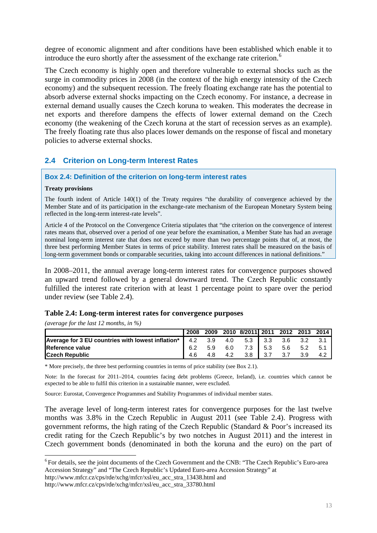degree of economic alignment and after conditions have been established which enable it to introduce the euro shortly after the assessment of the exchange rate criterion.<sup>6</sup>

The Czech economy is highly open and therefore vulnerable to external shocks such as the surge in commodity prices in 2008 (in the context of the high energy intensity of the Czech economy) and the subsequent recession. The freely floating exchange rate h[as](#page-12-3) the potential to absorb adverse external shocks impacting on the Czech economy. For instance, a decrease in external demand usually causes the Czech koruna to weaken. This moderates the decrease in net exports and therefore dampens the effects of lower external demand on the Czech economy (the weakening of the Czech koruna at the start of recession serves as an example). The freely floating rate thus also places lower demands on the response of fiscal and monetary policies to adverse external shocks.

# **2.4 Criterion on Long-term Interest Rates**

#### **Box 2.4: Definition of the criterion on long-term interest rates**

#### **Treaty provisions**

<span id="page-12-1"></span><span id="page-12-0"></span>The fourth indent of Article 140(1) of the Treaty requires "the durability of convergence achieved by the Member State and of its participation in the exchange-rate mechanism of the European Monetary System being reflected in the long-term interest-rate levels".

Article 4 of the Protocol on the Convergence Criteria stipulates that "the criterion on the convergence of interest rates means that, observed over a period of one year before the examination, a Member State has had an average nominal long-term interest rate that does not exceed by more than two percentage points that of, at most, the three best performing Member States in terms of price stability. Interest rates shall be measured on the basis of long-term government bonds or comparable securities, taking into account differences in national definitions."

In 2008–2011, the annual average long-term interest rates for convergence purposes showed an upward trend followed by a general downward trend. The Czech Republic constantly fulfilled the interest rate criterion with at least 1 percentage point to spare over the period under review (see Table 2.4).

#### **Table 2.4: Long-term interest rates for convergence purposes**

*(average for the last 12 months, in %)* 

1

<span id="page-12-2"></span>

|                                                                          | 2008 |     |     | 2009 2010 8/2011 2011 2012 2013 2014 |         |         |     |       |
|--------------------------------------------------------------------------|------|-----|-----|--------------------------------------|---------|---------|-----|-------|
| <b>Average for 3 EU countries with lowest inflation*</b> $\vert$ 4.2 3.9 |      |     |     | 4.0 5.3 3.3 3.6 3.2                  |         |         |     | 3.1   |
| <b>IReference value</b>                                                  | 6.2  | 5.9 | 6.0 |                                      | 7.3 5.3 | 5.6 5.2 |     | - 5.1 |
| <b>ICzech Republic</b>                                                   | 4.6  |     | 4.2 | $3.8$ 3.7                            |         | 3.7     | 3.9 |       |

\* More precisely, the three best performing countries in terms of price stability (see Box 2.1).

Note: In the forecast for 2011–2014, countries facing debt problems (Greece, Ireland), i.e. countries which cannot be expected to be able to fulfil this criterion in a sustainable manner, were excluded.

Source: Eurostat, Convergence Programmes and Stability Programmes of individual member states.

The average level of long-term interest rates for convergence purposes for the last twelve months was 3.8% in the Czech Republic in August 2011 (see Table 2.4). Progress with government reforms, the high rating of the Czech Republic (Standard & Poor's increased its credit rating for the Czech Republic's by two notches in August 2011) and the interest in Czech government bonds (denominated in both the koruna and the euro) on the part of

http://www.mfcr.cz/cps/rde/xchg/mfcr/xsl/eu\_acc\_stra\_13438.html and

<sup>6</sup> For details, see the joint documents of the Czech Government and the CNB: "The Czech Republic's Euro-area Accession Strategy" and "The Czech Republic's Updated Euro-area Accession Strategy" at

<span id="page-12-3"></span>http://www.mfcr.cz/cps/rde/xchg/mfcr/xsl/eu\_acc\_stra\_33780.html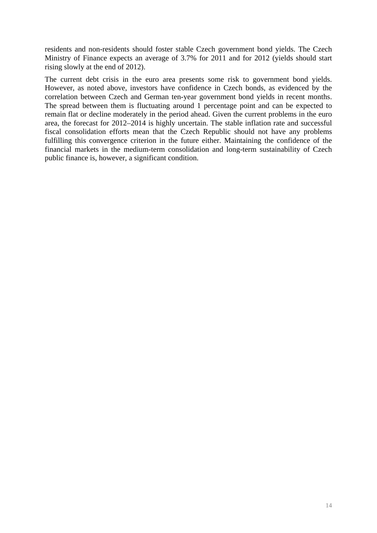residents and non-residents should foster stable Czech government bond yields. The Czech Ministry of Finance expects an average of 3.7% for 2011 and for 2012 (yields should start rising slowly at the end of 2012).

The current debt crisis in the euro area presents some risk to government bond yields. However, as noted above, investors have confidence in Czech bonds, as evidenced by the correlation between Czech and German ten-year government bond yields in recent months. The spread between them is fluctuating around 1 percentage point and can be expected to remain flat or decline moderately in the period ahead. Given the current problems in the euro area, the forecast for 2012–2014 is highly uncertain. The stable inflation rate and successful fiscal consolidation efforts mean that the Czech Republic should not have any problems fulfilling this convergence criterion in the future either. Maintaining the confidence of the financial markets in the medium-term consolidation and long-term sustainability of Czech public finance is, however, a significant condition.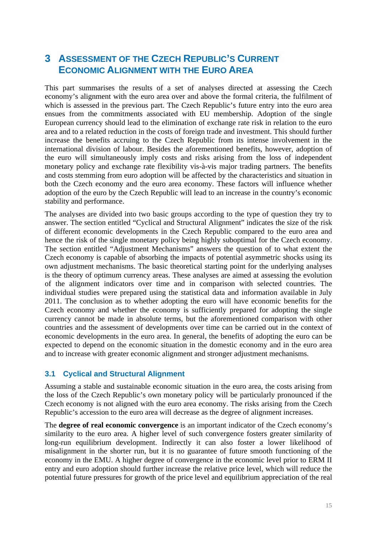# <span id="page-14-0"></span>**3 ASSESSMENT OF THE CZECH REPUBLIC'S CURRENT ECONOMIC ALIGNMENT WITH THE EURO AREA**

This part summarises the results of a set of analyses directed at assessing the Czech economy's alignment with the euro area over and above the formal criteria, the fulfilment of which is assessed in the previous part. The Czech Republic's future entry into the euro area ensues from the commitments associated with EU membership. Adoption of the single European currency should lead to the elimination of exchange rate risk in relation to the euro area and to a related reduction in the costs of foreign trade and investment. This should further increase the benefits accruing to the Czech Republic from its intense involvement in the international division of labour. Besides the aforementioned benefits, however, adoption of the euro will simultaneously imply costs and risks arising from the loss of independent monetary policy and exchange rate flexibility vis-à-vis major trading partners. The benefits and costs stemming from euro adoption will be affected by the characteristics and situation in both the Czech economy and the euro area economy. These factors will influence whether adoption of the euro by the Czech Republic will lead to an increase in the country's economic stability and performance.

The analyses are divided into two basic groups according to the type of question they try to answer. The section entitled "Cyclical and Structural Alignment" indicates the size of the risk of different economic developments in the Czech Republic compared to the euro area and hence the risk of the single monetary policy being highly suboptimal for the Czech economy. The section entitled "Adjustment Mechanisms" answers the question of to what extent the Czech economy is capable of absorbing the impacts of potential asymmetric shocks using its own adjustment mechanisms. The basic theoretical starting point for the underlying analyses is the theory of optimum currency areas. These analyses are aimed at assessing the evolution of the alignment indicators over time and in comparison with selected countries. The individual studies were prepared using the statistical data and information available in July 2011. The conclusion as to whether adopting the euro will have economic benefits for the Czech economy and whether the economy is sufficiently prepared for adopting the single currency cannot be made in absolute terms, but the aforementioned comparison with other countries and the assessment of developments over time can be carried out in the context of economic developments in the euro area. In general, the benefits of adopting the euro can be expected to depend on the economic situation in the domestic economy and in the euro area and to increase with greater economic alignment and stronger adjustment mechanisms.

# <span id="page-14-1"></span>**3.1 Cyclical and Structural Alignment**

Assuming a stable and sustainable economic situation in the euro area, the costs arising from the loss of the Czech Republic's own monetary policy will be particularly pronounced if the Czech economy is not aligned with the euro area economy. The risks arising from the Czech Republic's accession to the euro area will decrease as the degree of alignment increases.

The **degree of real economic convergence** is an important indicator of the Czech economy's similarity to the euro area. A higher level of such convergence fosters greater similarity of long-run equilibrium development. Indirectly it can also foster a lower likelihood of misalignment in the shorter run, but it is no guarantee of future smooth functioning of the economy in the EMU. A higher degree of convergence in the economic level prior to ERM II entry and euro adoption should further increase the relative price level, which will reduce the potential future pressures for growth of the price level and equilibrium appreciation of the real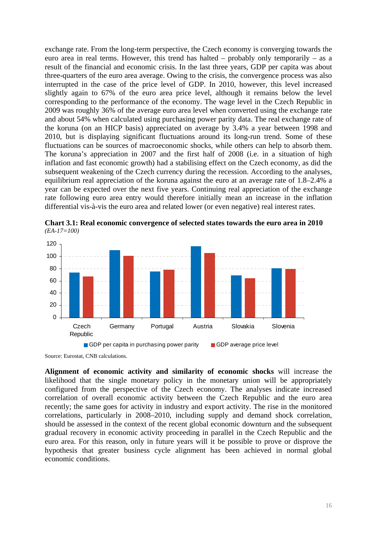exchange rate. From the long-term perspective, the Czech economy is converging towards the euro area in real terms. However, this trend has halted – probably only temporarily – as a result of the financial and economic crisis. In the last three years, GDP per capita was about three-quarters of the euro area average. Owing to the crisis, the convergence process was also interrupted in the case of the price level of GDP. In 2010, however, this level increased slightly again to 67% of the euro area price level, although it remains below the level corresponding to the performance of the economy. The wage level in the Czech Republic in 2009 was roughly 36% of the average euro area level when converted using the exchange rate and about 54% when calculated using purchasing power parity data. The real exchange rate of the koruna (on an HICP basis) appreciated on average by 3.4% a year between 1998 and 2010, but is displaying significant fluctuations around its long-run trend. Some of these fluctuations can be sources of macroeconomic shocks, while others can help to absorb them. The koruna's appreciation in 2007 and the first half of 2008 (i.e. in a situation of high inflation and fast economic growth) had a stabilising effect on the Czech economy, as did the subsequent weakening of the Czech currency during the recession. According to the analyses, equilibrium real appreciation of the koruna against the euro at an average rate of 1.8–2.4% a year can be expected over the next five years. Continuing real appreciation of the exchange rate following euro area entry would therefore initially mean an increase in the inflation differential vis-à-vis the euro area and related lower (or even negative) real interest rates.



<span id="page-15-0"></span>**Chart 3.1: Real economic convergence of selected states towards the euro area in 2010**  *(EA-17=100)* 

Source: Eurostat, CNB calculations.

**Alignment of economic activity and similarity of economic shocks** will increase the likelihood that the single monetary policy in the monetary union will be appropriately configured from the perspective of the Czech economy. The analyses indicate increased correlation of overall economic activity between the Czech Republic and the euro area recently; the same goes for activity in industry and export activity. The rise in the monitored correlations, particularly in 2008–2010, including supply and demand shock correlation, should be assessed in the context of the recent global economic downturn and the subsequent gradual recovery in economic activity proceeding in parallel in the Czech Republic and the euro area. For this reason, only in future years will it be possible to prove or disprove the hypothesis that greater business cycle alignment has been achieved in normal global economic conditions.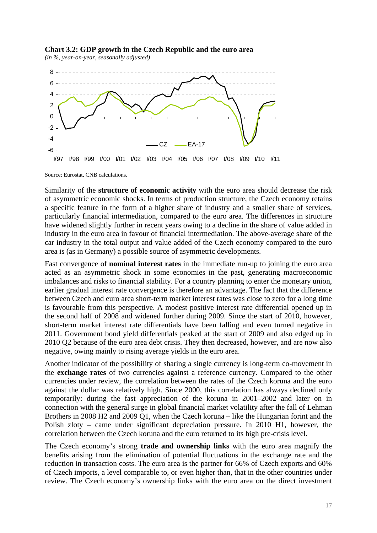

<span id="page-16-0"></span>

Source: Eurostat, CNB calculations.

Similarity of the **structure of economic activity** with the euro area should decrease the risk of asymmetric economic shocks. In terms of production structure, the Czech economy retains a specific feature in the form of a higher share of industry and a smaller share of services, particularly financial intermediation, compared to the euro area. The differences in structure have widened slightly further in recent years owing to a decline in the share of value added in industry in the euro area in favour of financial intermediation. The above-average share of the car industry in the total output and value added of the Czech economy compared to the euro area is (as in Germany) a possible source of asymmetric developments.

Fast convergence of **nominal interest rates** in the immediate run-up to joining the euro area acted as an asymmetric shock in some economies in the past, generating macroeconomic imbalances and risks to financial stability. For a country planning to enter the monetary union, earlier gradual interest rate convergence is therefore an advantage. The fact that the difference between Czech and euro area short-term market interest rates was close to zero for a long time is favourable from this perspective. A modest positive interest rate differential opened up in the second half of 2008 and widened further during 2009. Since the start of 2010, however, short-term market interest rate differentials have been falling and even turned negative in 2011. Government bond yield differentials peaked at the start of 2009 and also edged up in 2010 Q2 because of the euro area debt crisis. They then decreased, however, and are now also negative, owing mainly to rising average yields in the euro area.

Another indicator of the possibility of sharing a single currency is long-term co-movement in the **exchange rates** of two currencies against a reference currency. Compared to the other currencies under review, the correlation between the rates of the Czech koruna and the euro against the dollar was relatively high. Since 2000, this correlation has always declined only temporarily: during the fast appreciation of the koruna in 2001–2002 and later on in connection with the general surge in global financial market volatility after the fall of Lehman Brothers in 2008 H2 and 2009 Q1, when the Czech koruna – like the Hungarian forint and the Polish zloty – came under significant depreciation pressure. In 2010 H1, however, the correlation between the Czech koruna and the euro returned to its high pre-crisis level.

The Czech economy's strong **trade and ownership links** with the euro area magnify the benefits arising from the elimination of potential fluctuations in the exchange rate and the reduction in transaction costs. The euro area is the partner for 66% of Czech exports and 60% of Czech imports, a level comparable to, or even higher than, that in the other countries under review. The Czech economy's ownership links with the euro area on the direct investment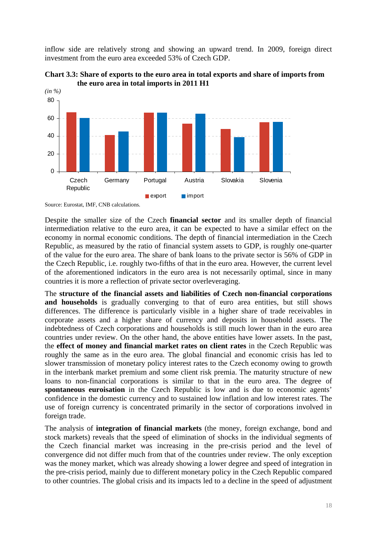inflow side are relatively strong and showing an upward trend. In 2009, foreign direct investment from the euro area exceeded 53% of Czech GDP.

<span id="page-17-0"></span>

**Chart 3.3: Share of exports to the euro area in total exports and share of imports from the euro area in total imports in 2011 H1** 

Source: Eurostat, IMF, CNB calculations.

Despite the smaller size of the Czech **financial sector** and its smaller depth of financial intermediation relative to the euro area, it can be expected to have a similar effect on the economy in normal economic conditions. The depth of financial intermediation in the Czech Republic, as measured by the ratio of financial system assets to GDP, is roughly one-quarter of the value for the euro area. The share of bank loans to the private sector is 56% of GDP in the Czech Republic, i.e. roughly two-fifths of that in the euro area. However, the current level of the aforementioned indicators in the euro area is not necessarily optimal, since in many countries it is more a reflection of private sector overleveraging.

The **structure of the financial assets and liabilities of Czech non-financial corporations**  and households is gradually converging to that of euro area entities, but still shows differences. The difference is particularly visible in a higher share of trade receivables in corporate assets and a higher share of currency and deposits in household assets. The indebtedness of Czech corporations and households is still much lower than in the euro area countries under review. On the other hand, the above entities have lower assets. In the past, the **effect of money and financial market rates on client rates** in the Czech Republic was roughly the same as in the euro area. The global financial and economic crisis has led to slower transmission of monetary policy interest rates to the Czech economy owing to growth in the interbank market premium and some client risk premia. The maturity structure of new loans to non-financial corporations is similar to that in the euro area. The degree of **spontaneous euroisation** in the Czech Republic is low and is due to economic agents' confidence in the domestic currency and to sustained low inflation and low interest rates. The use of foreign currency is concentrated primarily in the sector of corporations involved in foreign trade.

The analysis of **integration of financial markets** (the money, foreign exchange, bond and stock markets) reveals that the speed of elimination of shocks in the individual segments of the Czech financial market was increasing in the pre-crisis period and the level of convergence did not differ much from that of the countries under review. The only exception was the money market, which was already showing a lower degree and speed of integration in the pre-crisis period, mainly due to different monetary policy in the Czech Republic compared to other countries. The global crisis and its impacts led to a decline in the speed of adjustment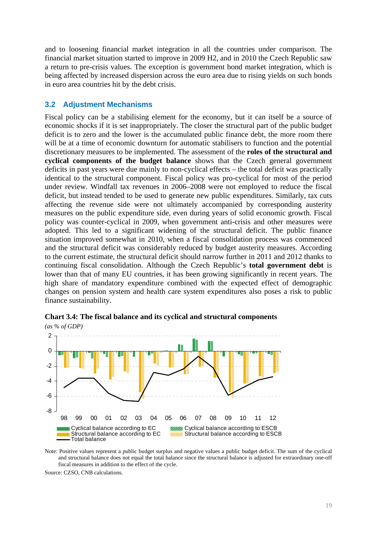and to loosening financial market integration in all the countries under comparison. The financial market situation started to improve in 2009 H2, and in 2010 the Czech Republic saw a return to pre-crisis values. The exception is government bond market integration, which is being affected by increased dispersion across the euro area due to rising yields on such bonds in euro area countries hit by the debt crisis.

### <span id="page-18-0"></span>**3.2 Adjustment Mechanisms**

Fiscal policy can be a stabilising element for the economy, but it can itself be a source of economic shocks if it is set inappropriately. The closer the structural part of the public budget deficit is to zero and the lower is the accumulated public finance debt, the more room there will be at a time of economic downturn for automatic stabilisers to function and the potential discretionary measures to be implemented. The assessment of the **roles of the structural and cyclical components of the budget balance** shows that the Czech general government deficits in past years were due mainly to non-cyclical effects – the total deficit was practically identical to the structural component. Fiscal policy was pro-cyclical for most of the period under review. Windfall tax revenues in 2006–2008 were not employed to reduce the fiscal deficit, but instead tended to be used to generate new public expenditures. Similarly, tax cuts affecting the revenue side were not ultimately accompanied by corresponding austerity measures on the public expenditure side, even during years of solid economic growth. Fiscal policy was counter-cyclical in 2009, when government anti-crisis and other measures were adopted. This led to a significant widening of the structural deficit. The public finance situation improved somewhat in 2010, when a fiscal consolidation process was commenced and the structural deficit was considerably reduced by budget austerity measures. According to the current estimate, the structural deficit should narrow further in 2011 and 2012 thanks to continuing fiscal consolidation. Although the Czech Republic's **total government debt** is lower than that of many EU countries, it has been growing significantly in recent years. The high share of mandatory expenditure combined with the expected effect of demographic changes on pension system and health care system expenditures also poses a risk to public finance sustainability.



**Chart 3.4: The fiscal balance and its cyclical and structural components**  *(as % of GDP)* 

Note: Positive values represent a public budget surplus and negative values a public budget deficit. The sum of the cyclical and structural balance does not equal the total balance since the structural balance is adjusted for extraordinary one-off fiscal measures in addition to the effect of the cycle.

Source: CZSO, CNB calculations.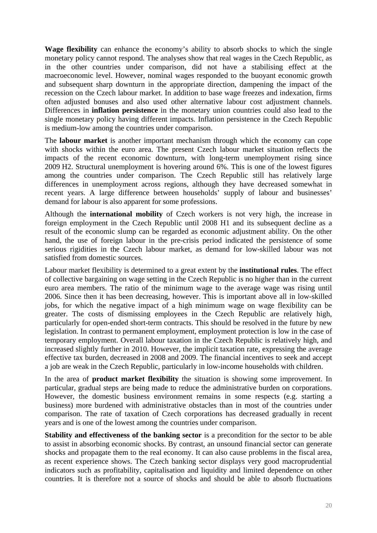**Wage flexibility** can enhance the economy's ability to absorb shocks to which the single monetary policy cannot respond. The analyses show that real wages in the Czech Republic, as in the other countries under comparison, did not have a stabilising effect at the macroeconomic level. However, nominal wages responded to the buoyant economic growth and subsequent sharp downturn in the appropriate direction, dampening the impact of the recession on the Czech labour market. In addition to base wage freezes and indexation, firms often adjusted bonuses and also used other alternative labour cost adjustment channels. Differences in **inflation persistence** in the monetary union countries could also lead to the single monetary policy having different impacts. Inflation persistence in the Czech Republic is medium-low among the countries under comparison.

The **labour market** is another important mechanism through which the economy can cope with shocks within the euro area. The present Czech labour market situation reflects the impacts of the recent economic downturn, with long-term unemployment rising since 2009 H2. Structural unemployment is hovering around 6%. This is one of the lowest figures among the countries under comparison. The Czech Republic still has relatively large differences in unemployment across regions, although they have decreased somewhat in recent years. A large difference between households' supply of labour and businesses' demand for labour is also apparent for some professions.

Although the **international mobility** of Czech workers is not very high, the increase in foreign employment in the Czech Republic until 2008 H1 and its subsequent decline as a result of the economic slump can be regarded as economic adjustment ability. On the other hand, the use of foreign labour in the pre-crisis period indicated the persistence of some serious rigidities in the Czech labour market, as demand for low-skilled labour was not satisfied from domestic sources.

Labour market flexibility is determined to a great extent by the **institutional rules**. The effect of collective bargaining on wage setting in the Czech Republic is no higher than in the current euro area members. The ratio of the minimum wage to the average wage was rising until 2006. Since then it has been decreasing, however. This is important above all in low-skilled jobs, for which the negative impact of a high minimum wage on wage flexibility can be greater. The costs of dismissing employees in the Czech Republic are relatively high, particularly for open-ended short-term contracts. This should be resolved in the future by new legislation. In contrast to permanent employment, employment protection is low in the case of temporary employment. Overall labour taxation in the Czech Republic is relatively high, and increased slightly further in 2010. However, the implicit taxation rate, expressing the average effective tax burden, decreased in 2008 and 2009. The financial incentives to seek and accept a job are weak in the Czech Republic, particularly in low-income households with children.

In the area of **product market flexibility** the situation is showing some improvement. In particular, gradual steps are being made to reduce the administrative burden on corporations. However, the domestic business environment remains in some respects (e.g. starting a business) more burdened with administrative obstacles than in most of the countries under comparison. The rate of taxation of Czech corporations has decreased gradually in recent years and is one of the lowest among the countries under comparison.

**Stability and effectiveness of the banking sector** is a precondition for the sector to be able to assist in absorbing economic shocks. By contrast, an unsound financial sector can generate shocks and propagate them to the real economy. It can also cause problems in the fiscal area, as recent experience shows. The Czech banking sector displays very good macroprudential indicators such as profitability, capitalisation and liquidity and limited dependence on other countries. It is therefore not a source of shocks and should be able to absorb fluctuations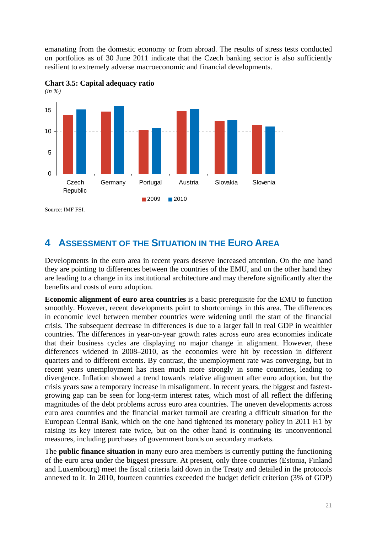emanating from the domestic economy or from abroad. The results of stress tests conducted on portfolios as of 30 June 2011 indicate that the Czech banking sector is also sufficiently resilient to extremely adverse macroeconomic and financial developments.





<span id="page-20-0"></span>**4 ASSESSMENT OF THE SITUATION IN THE EURO AREA**

Developments in the euro area in recent years deserve increased attention. On the one hand they are pointing to differences between the countries of the EMU, and on the other hand they are leading to a change in its institutional architecture and may therefore significantly alter the benefits and costs of euro adoption.

**Economic alignment of euro area countries** is a basic prerequisite for the EMU to function smoothly. However, recent developments point to shortcomings in this area. The differences in economic level between member countries were widening until the start of the financial crisis. The subsequent decrease in differences is due to a larger fall in real GDP in wealthier countries. The differences in year-on-year growth rates across euro area economies indicate that their business cycles are displaying no major change in alignment. However, these differences widened in 2008–2010, as the economies were hit by recession in different quarters and to different extents. By contrast, the unemployment rate was converging, but in recent years unemployment has risen much more strongly in some countries, leading to divergence. Inflation showed a trend towards relative alignment after euro adoption, but the crisis years saw a temporary increase in misalignment. In recent years, the biggest and fastestgrowing gap can be seen for long-term interest rates, which most of all reflect the differing magnitudes of the debt problems across euro area countries. The uneven developments across euro area countries and the financial market turmoil are creating a difficult situation for the European Central Bank, which on the one hand tightened its monetary policy in 2011 H1 by raising its key interest rate twice, but on the other hand is continuing its unconventional measures, including purchases of government bonds on secondary markets.

The **public finance situation** in many euro area members is currently putting the functioning of the euro area under the biggest pressure. At present, only three countries (Estonia, Finland and Luxembourg) meet the fiscal criteria laid down in the Treaty and detailed in the protocols annexed to it. In 2010, fourteen countries exceeded the budget deficit criterion (3% of GDP)